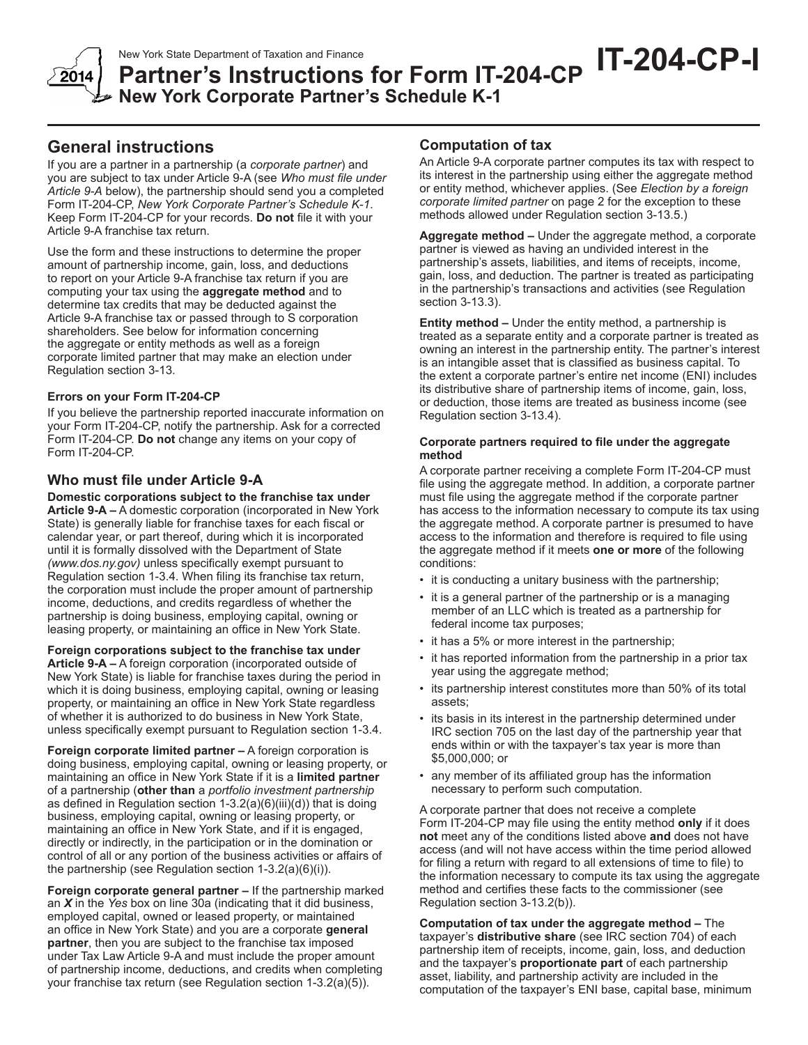

**New York Corporate Partner's Schedule K-1**

# **General instructions**

If you are a partner in a partnership (a *corporate partner*) and you are subject to tax under Article 9-A (see *Who must file under Article 9-A* below), the partnership should send you a completed Form IT-204-CP, *New York Corporate Partner's Schedule K-1*. Keep Form IT-204-CP for your records. **Do not** file it with your Article 9-A franchise tax return.

Use the form and these instructions to determine the proper amount of partnership income, gain, loss, and deductions to report on your Article 9-A franchise tax return if you are computing your tax using the **aggregate method** and to determine tax credits that may be deducted against the Article 9-A franchise tax or passed through to S corporation shareholders. See below for information concerning the aggregate or entity methods as well as a foreign corporate limited partner that may make an election under Regulation section 3-13.

### **Errors on your Form IT-204-CP**

If you believe the partnership reported inaccurate information on your Form IT-204-CP, notify the partnership. Ask for a corrected Form IT-204-CP. **Do not** change any items on your copy of Form IT-204-CP.

## **Who must file under Article 9-A**

**Domestic corporations subject to the franchise tax under Article 9-A –** A domestic corporation (incorporated in New York State) is generally liable for franchise taxes for each fiscal or calendar year, or part thereof, during which it is incorporated until it is formally dissolved with the Department of State *(www.dos.ny.gov)* unless specifically exempt pursuant to Regulation section 1-3.4. When filing its franchise tax return, the corporation must include the proper amount of partnership income, deductions, and credits regardless of whether the partnership is doing business, employing capital, owning or leasing property, or maintaining an office in New York State.

### **Foreign corporations subject to the franchise tax under**

**Article 9-A –** A foreign corporation (incorporated outside of New York State) is liable for franchise taxes during the period in which it is doing business, employing capital, owning or leasing property, or maintaining an office in New York State regardless of whether it is authorized to do business in New York State, unless specifically exempt pursuant to Regulation section 1-3.4.

**Foreign corporate limited partner –** A foreign corporation is doing business, employing capital, owning or leasing property, or maintaining an office in New York State if it is a **limited partner** of a partnership (**other than** a *portfolio investment partnership*  as defined in Regulation section 1-3.2(a)(6)(iii)(d)) that is doing business, employing capital, owning or leasing property, or maintaining an office in New York State, and if it is engaged, directly or indirectly, in the participation or in the domination or control of all or any portion of the business activities or affairs of the partnership (see Regulation section 1-3.2(a)(6)(i)).

**Foreign corporate general partner –** If the partnership marked an *X* in the *Yes* box on line 30a (indicating that it did business, employed capital, owned or leased property, or maintained an office in New York State) and you are a corporate **general partner**, then you are subject to the franchise tax imposed under Tax Law Article 9-A and must include the proper amount of partnership income, deductions, and credits when completing your franchise tax return (see Regulation section 1-3.2(a)(5)).

## **Computation of tax**

An Article 9-A corporate partner computes its tax with respect to its interest in the partnership using either the aggregate method or entity method, whichever applies. (See *Election by a foreign corporate limited partner* on page 2 for the exception to these methods allowed under Regulation section 3-13.5.)

**Aggregate method –** Under the aggregate method, a corporate partner is viewed as having an undivided interest in the partnership's assets, liabilities, and items of receipts, income, gain, loss, and deduction. The partner is treated as participating in the partnership's transactions and activities (see Regulation section 3-13.3).

**Entity method –** Under the entity method, a partnership is treated as a separate entity and a corporate partner is treated as owning an interest in the partnership entity. The partner's interest is an intangible asset that is classified as business capital. To the extent a corporate partner's entire net income (ENI) includes its distributive share of partnership items of income, gain, loss, or deduction, those items are treated as business income (see Regulation section 3-13.4).

#### **Corporate partners required to file under the aggregate method**

A corporate partner receiving a complete Form IT-204-CP must file using the aggregate method. In addition, a corporate partner must file using the aggregate method if the corporate partner has access to the information necessary to compute its tax using the aggregate method. A corporate partner is presumed to have access to the information and therefore is required to file using the aggregate method if it meets **one or more** of the following conditions:

- it is conducting a unitary business with the partnership;
- it is a general partner of the partnership or is a managing member of an LLC which is treated as a partnership for federal income tax purposes;
- it has a 5% or more interest in the partnership;
- it has reported information from the partnership in a prior tax year using the aggregate method;
- its partnership interest constitutes more than 50% of its total assets;
- its basis in its interest in the partnership determined under IRC section 705 on the last day of the partnership year that ends within or with the taxpayer's tax year is more than \$5,000,000; or
- any member of its affiliated group has the information necessary to perform such computation.

A corporate partner that does not receive a complete Form IT-204-CP may file using the entity method **only** if it does **not** meet any of the conditions listed above **and** does not have access (and will not have access within the time period allowed for filing a return with regard to all extensions of time to file) to the information necessary to compute its tax using the aggregate method and certifies these facts to the commissioner (see Regulation section 3-13.2(b)).

**Computation of tax under the aggregate method –** The taxpayer's **distributive share** (see IRC section 704) of each partnership item of receipts, income, gain, loss, and deduction and the taxpayer's **proportionate part** of each partnership asset, liability, and partnership activity are included in the computation of the taxpayer's ENI base, capital base, minimum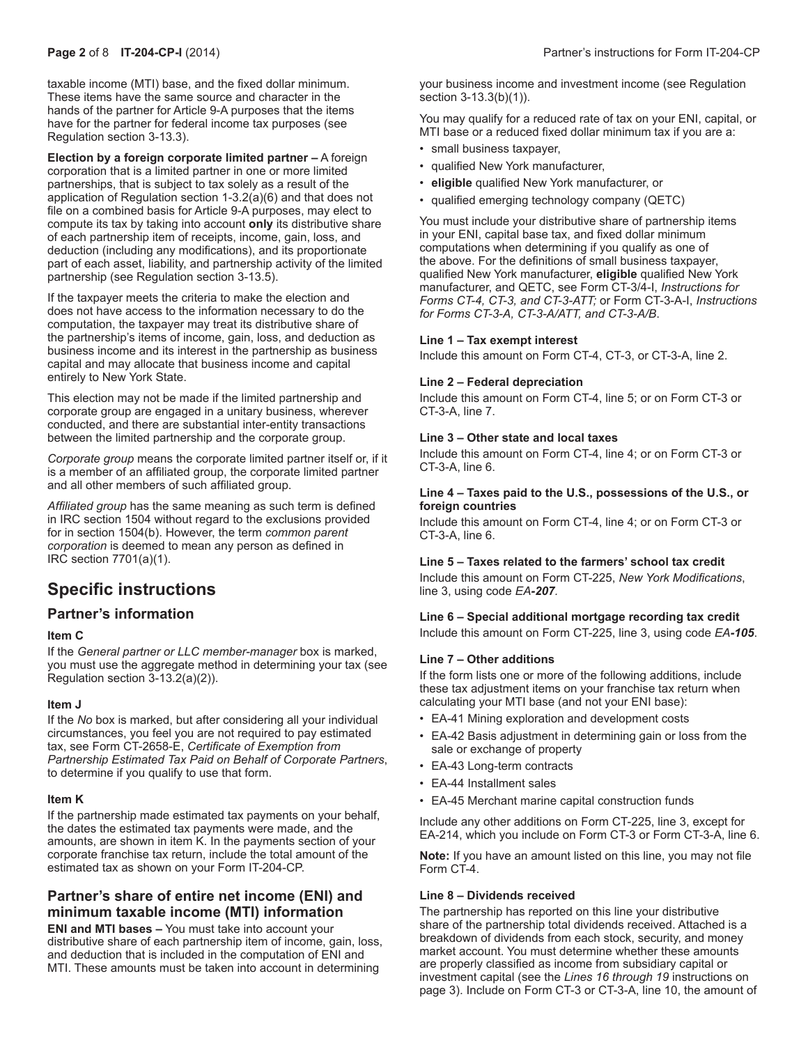taxable income (MTI) base, and the fixed dollar minimum. These items have the same source and character in the hands of the partner for Article 9-A purposes that the items have for the partner for federal income tax purposes (see Regulation section 3-13.3).

**Election by a foreign corporate limited partner –** A foreign corporation that is a limited partner in one or more limited partnerships, that is subject to tax solely as a result of the application of Regulation section 1-3.2(a)(6) and that does not file on a combined basis for Article 9-A purposes, may elect to compute its tax by taking into account **only** its distributive share of each partnership item of receipts, income, gain, loss, and deduction (including any modifications), and its proportionate part of each asset, liability, and partnership activity of the limited partnership (see Regulation section 3-13.5).

If the taxpayer meets the criteria to make the election and does not have access to the information necessary to do the computation, the taxpayer may treat its distributive share of the partnership's items of income, gain, loss, and deduction as business income and its interest in the partnership as business capital and may allocate that business income and capital entirely to New York State.

This election may not be made if the limited partnership and corporate group are engaged in a unitary business, wherever conducted, and there are substantial inter-entity transactions between the limited partnership and the corporate group.

*Corporate group* means the corporate limited partner itself or, if it is a member of an affiliated group, the corporate limited partner and all other members of such affiliated group.

*Affiliated group* has the same meaning as such term is defined in IRC section 1504 without regard to the exclusions provided for in section 1504(b). However, the term *common parent corporation* is deemed to mean any person as defined in IRC section 7701(a)(1).

# **Specific instructions**

## **Partner's information**

#### **Item C**

If the *General partner or LLC member-manager* box is marked, you must use the aggregate method in determining your tax (see Regulation section 3-13.2(a)(2)).

#### **Item J**

If the *No* box is marked, but after considering all your individual circumstances, you feel you are not required to pay estimated tax, see Form CT-2658-E, *Certificate of Exemption from Partnership Estimated Tax Paid on Behalf of Corporate Partners*, to determine if you qualify to use that form.

#### **Item K**

If the partnership made estimated tax payments on your behalf, the dates the estimated tax payments were made, and the amounts, are shown in item K. In the payments section of your corporate franchise tax return, include the total amount of the estimated tax as shown on your Form IT-204-CP.

## **Partner's share of entire net income (ENI) and minimum taxable income (MTI) information**

**ENI and MTI bases –** You must take into account your distributive share of each partnership item of income, gain, loss, and deduction that is included in the computation of ENI and MTI. These amounts must be taken into account in determining

your business income and investment income (see Regulation section 3-13.3(b)(1)).

You may qualify for a reduced rate of tax on your ENI, capital, or MTI base or a reduced fixed dollar minimum tax if you are a:

- small business taxpayer,
- qualified New York manufacturer,
- **eligible** qualified New York manufacturer, or
- qualified emerging technology company (QETC)

You must include your distributive share of partnership items in your ENI, capital base tax, and fixed dollar minimum computations when determining if you qualify as one of the above. For the definitions of small business taxpayer, qualified New York manufacturer, **eligible** qualified New York manufacturer, and QETC, see Form CT-3/4-I, *Instructions for Forms CT-4, CT-3, and CT-3-ATT;* or Form CT-3-A-I, *Instructions for Forms CT-3-A, CT-3-A/ATT, and CT-3-A/B*.

#### **Line 1 – Tax exempt interest**

Include this amount on Form CT-4, CT-3, or CT-3-A, line 2.

#### **Line 2 – Federal depreciation**

Include this amount on Form CT-4, line 5; or on Form CT-3 or CT-3-A, line 7.

#### **Line 3 – Other state and local taxes**

Include this amount on Form CT-4, line 4; or on Form CT-3 or CT-3-A, line 6.

#### **Line 4 – Taxes paid to the U.S., possessions of the U.S., or foreign countries**

Include this amount on Form CT-4, line 4; or on Form CT-3 or CT-3-A, line 6.

### **Line 5 – Taxes related to the farmers' school tax credit**

Include this amount on Form CT-225, *New York Modifications*, line 3, using code *EA-207.*

### **Line 6 – Special additional mortgage recording tax credit**

Include this amount on Form CT-225, line 3, using code *EA-105*.

#### **Line 7 – Other additions**

If the form lists one or more of the following additions, include these tax adjustment items on your franchise tax return when calculating your MTI base (and not your ENI base):

- EA-41 Mining exploration and development costs
- EA-42 Basis adjustment in determining gain or loss from the sale or exchange of property
- EA-43 Long-term contracts
- EA-44 Installment sales
- EA-45 Merchant marine capital construction funds

Include any other additions on Form CT-225, line 3, except for EA-214, which you include on Form CT-3 or Form CT-3-A, line 6.

**Note:** If you have an amount listed on this line, you may not file Form CT-4.

### **Line 8 – Dividends received**

The partnership has reported on this line your distributive share of the partnership total dividends received. Attached is a breakdown of dividends from each stock, security, and money market account. You must determine whether these amounts are properly classified as income from subsidiary capital or investment capital (see the *Lines 16 through 19* instructions on page 3). Include on Form CT-3 or CT-3-A, line 10, the amount of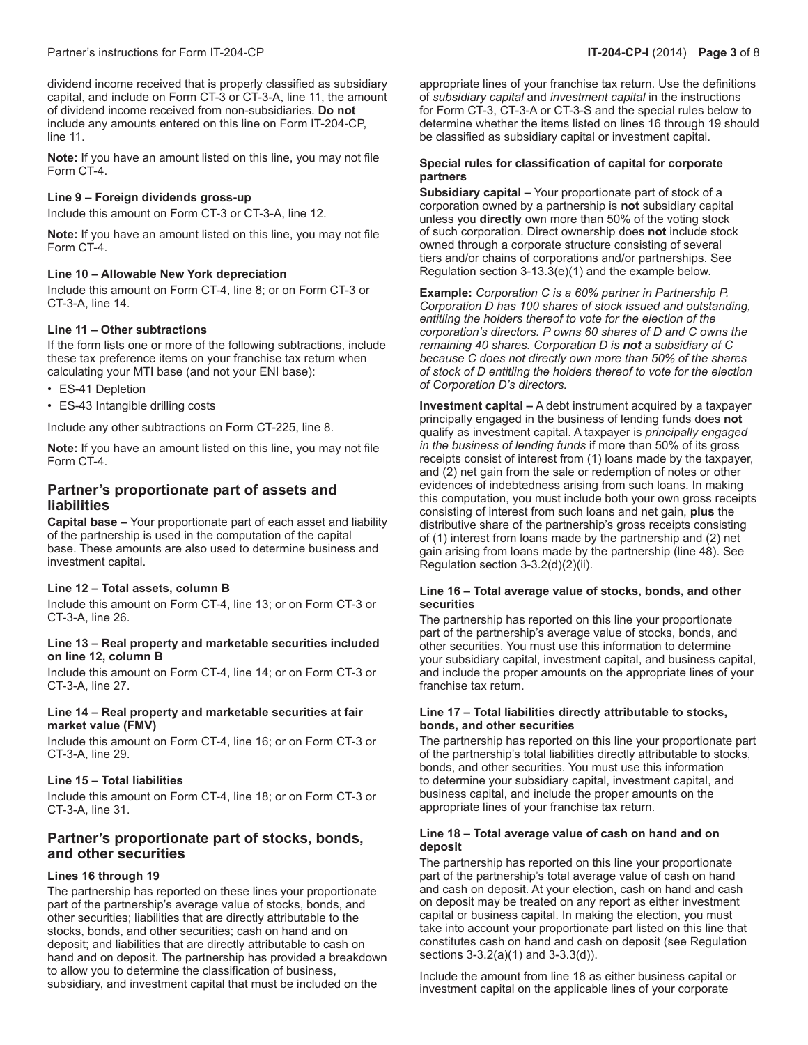dividend income received that is properly classified as subsidiary capital, and include on Form CT-3 or CT-3-A, line 11, the amount of dividend income received from non-subsidiaries. **Do not** include any amounts entered on this line on Form IT-204-CP, line 11.

**Note:** If you have an amount listed on this line, you may not file Form CT-4.

#### **Line 9 – Foreign dividends gross-up**

Include this amount on Form CT-3 or CT-3-A, line 12.

**Note:** If you have an amount listed on this line, you may not file Form CT-4.

#### **Line 10 – Allowable New York depreciation**

Include this amount on Form CT-4, line 8; or on Form CT-3 or CT-3-A, line 14.

#### **Line 11 – Other subtractions**

If the form lists one or more of the following subtractions, include these tax preference items on your franchise tax return when calculating your MTI base (and not your ENI base):

- ES-41 Depletion
- ES-43 Intangible drilling costs

Include any other subtractions on Form CT-225, line 8.

**Note:** If you have an amount listed on this line, you may not file Form CT-4.

## **Partner's proportionate part of assets and liabilities**

**Capital base –** Your proportionate part of each asset and liability of the partnership is used in the computation of the capital base. These amounts are also used to determine business and investment capital.

#### **Line 12 – Total assets, column B**

Include this amount on Form CT-4, line 13; or on Form CT-3 or CT-3-A, line 26.

#### **Line 13 – Real property and marketable securities included on line 12, column B**

Include this amount on Form CT-4, line 14; or on Form CT-3 or CT-3-A, line 27.

#### **Line 14 – Real property and marketable securities at fair market value (FMV)**

Include this amount on Form CT-4, line 16; or on Form CT-3 or CT-3-A, line 29.

### **Line 15 – Total liabilities**

Include this amount on Form CT-4, line 18; or on Form CT-3 or CT-3-A, line 31.

## **Partner's proportionate part of stocks, bonds, and other securities**

### **Lines 16 through 19**

The partnership has reported on these lines your proportionate part of the partnership's average value of stocks, bonds, and other securities; liabilities that are directly attributable to the stocks, bonds, and other securities; cash on hand and on deposit; and liabilities that are directly attributable to cash on hand and on deposit. The partnership has provided a breakdown to allow you to determine the classification of business, subsidiary, and investment capital that must be included on the

appropriate lines of your franchise tax return. Use the definitions of *subsidiary capital* and *investment capital* in the instructions for Form CT-3, CT-3-A or CT-3-S and the special rules below to determine whether the items listed on lines 16 through 19 should be classified as subsidiary capital or investment capital.

#### **Special rules for classification of capital for corporate partners**

**Subsidiary capital –** Your proportionate part of stock of a corporation owned by a partnership is **not** subsidiary capital unless you **directly** own more than 50% of the voting stock of such corporation. Direct ownership does **not** include stock owned through a corporate structure consisting of several tiers and/or chains of corporations and/or partnerships. See Regulation section 3-13.3(e)(1) and the example below.

**Example:** *Corporation C is a 60% partner in Partnership P. Corporation D has 100 shares of stock issued and outstanding, entitling the holders thereof to vote for the election of the corporation's directors. P owns 60 shares of D and C owns the remaining 40 shares. Corporation D is not a subsidiary of C because C does not directly own more than 50% of the shares of stock of D entitling the holders thereof to vote for the election of Corporation D's directors.*

**Investment capital –** A debt instrument acquired by a taxpayer principally engaged in the business of lending funds does **not** qualify as investment capital. A taxpayer is *principally engaged in the business of lending funds* if more than 50% of its gross receipts consist of interest from (1) loans made by the taxpayer, and (2) net gain from the sale or redemption of notes or other evidences of indebtedness arising from such loans. In making this computation, you must include both your own gross receipts consisting of interest from such loans and net gain, **plus** the distributive share of the partnership's gross receipts consisting of (1) interest from loans made by the partnership and (2) net gain arising from loans made by the partnership (line 48). See Regulation section 3-3.2(d)(2)(ii).

#### **Line 16 – Total average value of stocks, bonds, and other securities**

The partnership has reported on this line your proportionate part of the partnership's average value of stocks, bonds, and other securities. You must use this information to determine your subsidiary capital, investment capital, and business capital, and include the proper amounts on the appropriate lines of your franchise tax return.

#### **Line 17 – Total liabilities directly attributable to stocks, bonds, and other securities**

The partnership has reported on this line your proportionate part of the partnership's total liabilities directly attributable to stocks, bonds, and other securities. You must use this information to determine your subsidiary capital, investment capital, and business capital, and include the proper amounts on the appropriate lines of your franchise tax return.

#### **Line 18 – Total average value of cash on hand and on deposit**

The partnership has reported on this line your proportionate part of the partnership's total average value of cash on hand and cash on deposit. At your election, cash on hand and cash on deposit may be treated on any report as either investment capital or business capital. In making the election, you must take into account your proportionate part listed on this line that constitutes cash on hand and cash on deposit (see Regulation sections 3-3.2(a)(1) and 3-3.3(d)).

Include the amount from line 18 as either business capital or investment capital on the applicable lines of your corporate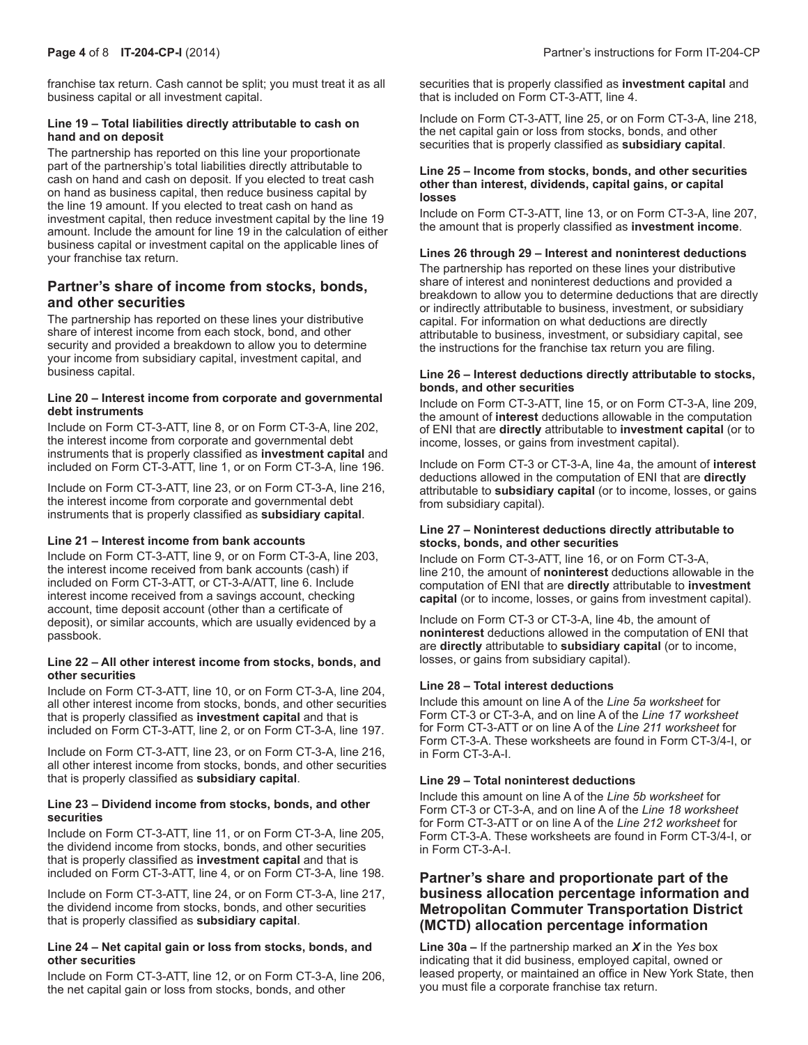franchise tax return. Cash cannot be split; you must treat it as all business capital or all investment capital.

#### **Line 19 – Total liabilities directly attributable to cash on hand and on deposit**

The partnership has reported on this line your proportionate part of the partnership's total liabilities directly attributable to cash on hand and cash on deposit. If you elected to treat cash on hand as business capital, then reduce business capital by the line 19 amount. If you elected to treat cash on hand as investment capital, then reduce investment capital by the line 19 amount. Include the amount for line 19 in the calculation of either business capital or investment capital on the applicable lines of your franchise tax return.

## **Partner's share of income from stocks, bonds, and other securities**

The partnership has reported on these lines your distributive share of interest income from each stock, bond, and other security and provided a breakdown to allow you to determine your income from subsidiary capital, investment capital, and business capital.

#### **Line 20 – Interest income from corporate and governmental debt instruments**

Include on Form CT-3-ATT, line 8, or on Form CT-3-A, line 202, the interest income from corporate and governmental debt instruments that is properly classified as **investment capital** and included on Form CT-3-ATT, line 1, or on Form CT-3-A, line 196.

Include on Form CT-3-ATT, line 23, or on Form CT-3-A, line 216, the interest income from corporate and governmental debt instruments that is properly classified as **subsidiary capital**.

### **Line 21 – Interest income from bank accounts**

Include on Form CT-3-ATT, line 9, or on Form CT-3-A, line 203, the interest income received from bank accounts (cash) if included on Form CT-3-ATT, or CT-3-A/ATT, line 6. Include interest income received from a savings account, checking account, time deposit account (other than a certificate of deposit), or similar accounts, which are usually evidenced by a passbook.

#### **Line 22 – All other interest income from stocks, bonds, and other securities**

Include on Form CT-3-ATT, line 10, or on Form CT-3-A, line 204, all other interest income from stocks, bonds, and other securities that is properly classified as **investment capital** and that is included on Form CT-3-ATT, line 2, or on Form CT-3-A, line 197.

Include on Form CT-3-ATT, line 23, or on Form CT-3-A, line 216, all other interest income from stocks, bonds, and other securities that is properly classified as **subsidiary capital**.

#### **Line 23 – Dividend income from stocks, bonds, and other securities**

Include on Form CT-3-ATT, line 11, or on Form CT-3-A, line 205, the dividend income from stocks, bonds, and other securities that is properly classified as **investment capital** and that is included on Form CT-3-ATT, line 4, or on Form CT-3-A, line 198.

Include on Form CT-3-ATT, line 24, or on Form CT-3-A, line 217, the dividend income from stocks, bonds, and other securities that is properly classified as **subsidiary capital**.

#### **Line 24 – Net capital gain or loss from stocks, bonds, and other securities**

Include on Form CT-3-ATT, line 12, or on Form CT-3-A, line 206, the net capital gain or loss from stocks, bonds, and other

securities that is properly classified as **investment capital** and that is included on Form CT-3-ATT, line 4.

Include on Form CT-3-ATT, line 25, or on Form CT-3-A, line 218, the net capital gain or loss from stocks, bonds, and other securities that is properly classified as **subsidiary capital**.

#### **Line 25 – Income from stocks, bonds, and other securities other than interest, dividends, capital gains, or capital losses**

Include on Form CT-3-ATT, line 13, or on Form CT-3-A, line 207, the amount that is properly classified as **investment income**.

#### **Lines 26 through 29 – Interest and noninterest deductions**

The partnership has reported on these lines your distributive share of interest and noninterest deductions and provided a breakdown to allow you to determine deductions that are directly or indirectly attributable to business, investment, or subsidiary capital. For information on what deductions are directly attributable to business, investment, or subsidiary capital, see the instructions for the franchise tax return you are filing.

#### **Line 26 – Interest deductions directly attributable to stocks, bonds, and other securities**

Include on Form CT-3-ATT, line 15, or on Form CT-3-A, line 209, the amount of **interest** deductions allowable in the computation of ENI that are **directly** attributable to **investment capital** (or to income, losses, or gains from investment capital).

Include on Form CT-3 or CT-3-A, line 4a, the amount of **interest** deductions allowed in the computation of ENI that are **directly** attributable to **subsidiary capital** (or to income, losses, or gains from subsidiary capital).

#### **Line 27 – Noninterest deductions directly attributable to stocks, bonds, and other securities**

Include on Form CT-3-ATT, line 16, or on Form CT-3-A, line 210, the amount of **noninterest** deductions allowable in the computation of ENI that are **directly** attributable to **investment capital** (or to income, losses, or gains from investment capital).

Include on Form CT-3 or CT-3-A, line 4b, the amount of **noninterest** deductions allowed in the computation of ENI that are **directly** attributable to **subsidiary capital** (or to income, losses, or gains from subsidiary capital).

### **Line 28 – Total interest deductions**

Include this amount on line A of the *Line 5a worksheet* for Form CT-3 or CT-3-A, and on line A of the *Line 17 worksheet* for Form CT-3-ATT or on line A of the *Line 211 worksheet* for Form CT-3-A. These worksheets are found in Form CT-3/4-I, or in Form CT-3-A-I.

#### **Line 29 – Total noninterest deductions**

Include this amount on line A of the *Line 5b worksheet* for Form CT-3 or CT-3-A, and on line A of the *Line 18 worksheet* for Form CT-3-ATT or on line A of the *Line 212 worksheet* for Form CT-3-A. These worksheets are found in Form CT-3/4-I, or in Form CT-3-A-I.

## **Partner's share and proportionate part of the business allocation percentage information and Metropolitan Commuter Transportation District (MCTD) allocation percentage information**

**Line 30a –** If the partnership marked an *X* in the *Yes* box indicating that it did business, employed capital, owned or leased property, or maintained an office in New York State, then you must file a corporate franchise tax return.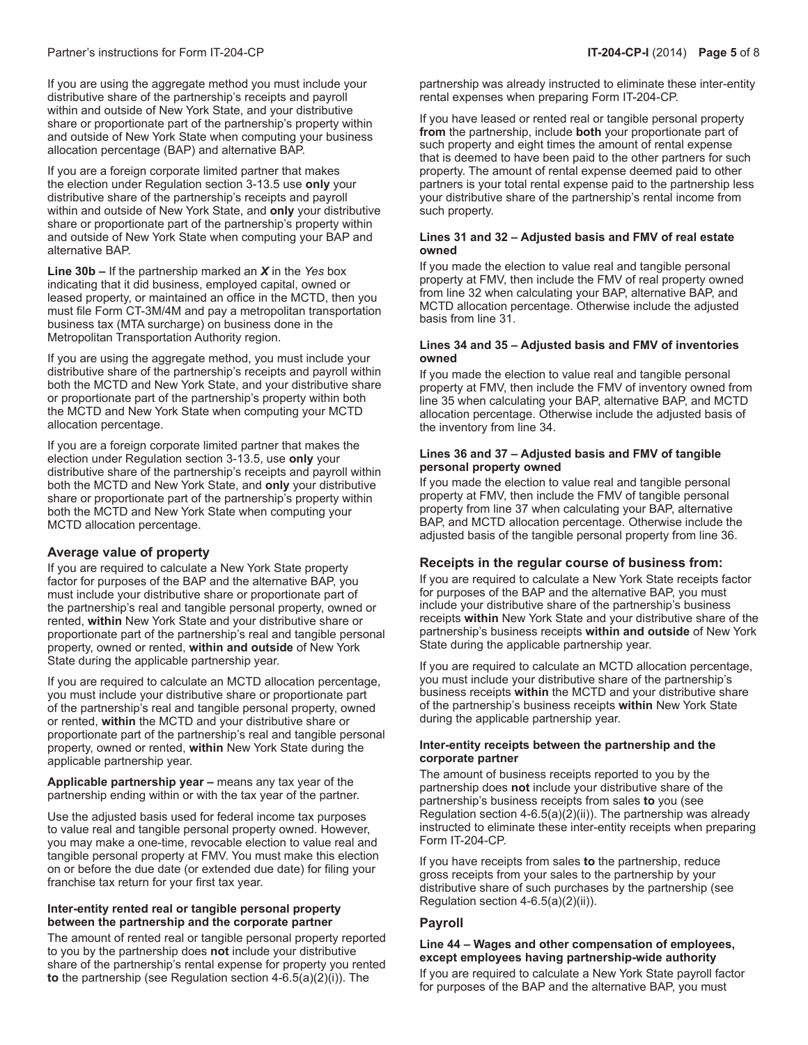If you are using the aggregate method you must include your distributive share of the partnership's receipts and payroll within and outside of New York State, and your distributive share or proportionate part of the partnership's property within and outside of New York State when computing your business allocation percentage (BAP) and alternative BAP.

If you are a foreign corporate limited partner that makes the election under Regulation section 3-13.5 use **only** your distributive share of the partnership's receipts and payroll within and outside of New York State, and **only** your distributive share or proportionate part of the partnership's property within and outside of New York State when computing your BAP and alternative BAP.

**Line 30b –** If the partnership marked an *X* in the *Yes* box indicating that it did business, employed capital, owned or leased property, or maintained an office in the MCTD, then you must file Form CT-3M/4M and pay a metropolitan transportation business tax (MTA surcharge) on business done in the Metropolitan Transportation Authority region.

If you are using the aggregate method, you must include your distributive share of the partnership's receipts and payroll within both the MCTD and New York State, and your distributive share or proportionate part of the partnership's property within both the MCTD and New York State when computing your MCTD allocation percentage.

If you are a foreign corporate limited partner that makes the election under Regulation section 3-13.5, use **only** your distributive share of the partnership's receipts and payroll within both the MCTD and New York State, and **only** your distributive share or proportionate part of the partnership's property within both the MCTD and New York State when computing your MCTD allocation percentage.

### **Average value of property**

If you are required to calculate a New York State property factor for purposes of the BAP and the alternative BAP, you must include your distributive share or proportionate part of the partnership's real and tangible personal property, owned or rented, **within** New York State and your distributive share or proportionate part of the partnership's real and tangible personal property, owned or rented, **within and outside** of New York State during the applicable partnership year.

If you are required to calculate an MCTD allocation percentage, you must include your distributive share or proportionate part of the partnership's real and tangible personal property, owned or rented, **within** the MCTD and your distributive share or proportionate part of the partnership's real and tangible personal property, owned or rented, **within** New York State during the applicable partnership year.

**Applicable partnership year –** means any tax year of the partnership ending within or with the tax year of the partner.

Use the adjusted basis used for federal income tax purposes to value real and tangible personal property owned. However, you may make a one-time, revocable election to value real and tangible personal property at FMV. You must make this election on or before the due date (or extended due date) for filing your franchise tax return for your first tax year.

#### **Inter-entity rented real or tangible personal property between the partnership and the corporate partner**

The amount of rented real or tangible personal property reported to you by the partnership does **not** include your distributive share of the partnership's rental expense for property you rented **to** the partnership (see Regulation section 4-6.5(a)(2)(i)). The

partnership was already instructed to eliminate these inter-entity rental expenses when preparing Form IT-204-CP.

If you have leased or rented real or tangible personal property **from** the partnership, include **both** your proportionate part of such property and eight times the amount of rental expense that is deemed to have been paid to the other partners for such property. The amount of rental expense deemed paid to other partners is your total rental expense paid to the partnership less your distributive share of the partnership's rental income from such property.

#### **Lines 31 and 32 – Adjusted basis and FMV of real estate owned**

If you made the election to value real and tangible personal property at FMV, then include the FMV of real property owned from line 32 when calculating your BAP, alternative BAP, and MCTD allocation percentage. Otherwise include the adjusted basis from line 31.

#### **Lines 34 and 35 – Adjusted basis and FMV of inventories owned**

If you made the election to value real and tangible personal property at FMV, then include the FMV of inventory owned from line 35 when calculating your BAP, alternative BAP, and MCTD allocation percentage. Otherwise include the adjusted basis of the inventory from line 34.

#### **Lines 36 and 37 – Adjusted basis and FMV of tangible personal property owned**

If you made the election to value real and tangible personal property at FMV, then include the FMV of tangible personal property from line 37 when calculating your BAP, alternative BAP, and MCTD allocation percentage. Otherwise include the adjusted basis of the tangible personal property from line 36.

### **Receipts in the regular course of business from:**

If you are required to calculate a New York State receipts factor for purposes of the BAP and the alternative BAP, you must include your distributive share of the partnership's business receipts **within** New York State and your distributive share of the partnership's business receipts **within and outside** of New York State during the applicable partnership year.

If you are required to calculate an MCTD allocation percentage, you must include your distributive share of the partnership's business receipts **within** the MCTD and your distributive share of the partnership's business receipts **within** New York State during the applicable partnership year.

#### **Inter-entity receipts between the partnership and the corporate partner**

The amount of business receipts reported to you by the partnership does **not** include your distributive share of the partnership's business receipts from sales **to** you (see Regulation section 4-6.5(a)(2)(ii)). The partnership was already instructed to eliminate these inter-entity receipts when preparing Form IT-204-CP.

If you have receipts from sales **to** the partnership, reduce gross receipts from your sales to the partnership by your distributive share of such purchases by the partnership (see Regulation section 4-6.5(a)(2)(ii)).

### **Payroll**

#### **Line 44 – Wages and other compensation of employees, except employees having partnership-wide authority**

If you are required to calculate a New York State payroll factor for purposes of the BAP and the alternative BAP, you must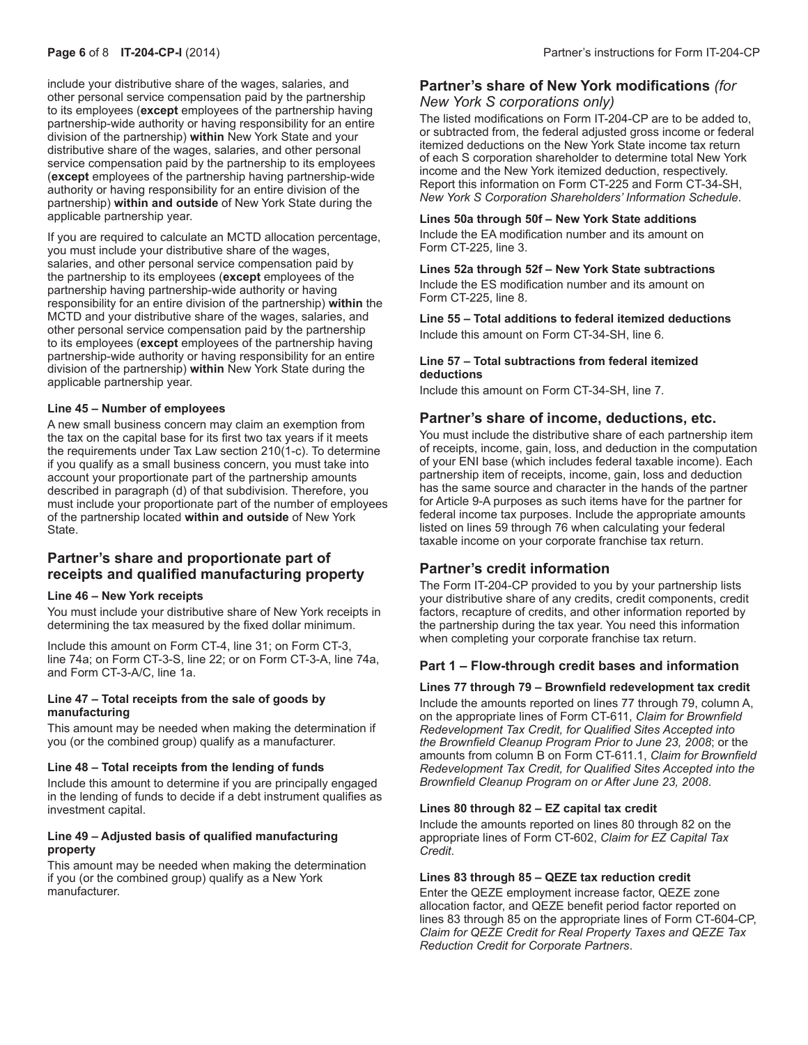include your distributive share of the wages, salaries, and other personal service compensation paid by the partnership to its employees (**except** employees of the partnership having partnership-wide authority or having responsibility for an entire division of the partnership) **within** New York State and your distributive share of the wages, salaries, and other personal service compensation paid by the partnership to its employees (**except** employees of the partnership having partnership-wide authority or having responsibility for an entire division of the partnership) **within and outside** of New York State during the applicable partnership year.

If you are required to calculate an MCTD allocation percentage, you must include your distributive share of the wages, salaries, and other personal service compensation paid by the partnership to its employees (**except** employees of the partnership having partnership-wide authority or having responsibility for an entire division of the partnership) **within** the MCTD and your distributive share of the wages, salaries, and other personal service compensation paid by the partnership to its employees (**except** employees of the partnership having partnership-wide authority or having responsibility for an entire division of the partnership) **within** New York State during the applicable partnership year.

#### **Line 45 – Number of employees**

A new small business concern may claim an exemption from the tax on the capital base for its first two tax years if it meets the requirements under Tax Law section 210(1-c). To determine if you qualify as a small business concern, you must take into account your proportionate part of the partnership amounts described in paragraph (d) of that subdivision. Therefore, you must include your proportionate part of the number of employees of the partnership located **within and outside** of New York State.

## **Partner's share and proportionate part of receipts and qualified manufacturing property**

#### **Line 46 – New York receipts**

You must include your distributive share of New York receipts in determining the tax measured by the fixed dollar minimum.

Include this amount on Form CT-4, line 31; on Form CT-3, line 74a; on Form CT-3-S, line 22; or on Form CT-3-A, line 74a, and Form CT-3-A/C, line 1a.

#### **Line 47 – Total receipts from the sale of goods by manufacturing**

This amount may be needed when making the determination if you (or the combined group) qualify as a manufacturer.

#### **Line 48 – Total receipts from the lending of funds**

Include this amount to determine if you are principally engaged in the lending of funds to decide if a debt instrument qualifies as investment capital.

#### **Line 49 – Adjusted basis of qualified manufacturing property**

This amount may be needed when making the determination if you (or the combined group) qualify as a New York manufacturer.

# **Partner's share of New York modifications** *(for*

*New York S corporations only)*

The listed modifications on Form IT-204-CP are to be added to, or subtracted from, the federal adjusted gross income or federal itemized deductions on the New York State income tax return of each S corporation shareholder to determine total New York income and the New York itemized deduction, respectively. Report this information on Form CT-225 and Form CT-34-SH, *New York S Corporation Shareholders' Information Schedule*.

#### **Lines 50a through 50f – New York State additions**

Include the EA modification number and its amount on Form CT-225, line 3.

**Lines 52a through 52f – New York State subtractions** Include the ES modification number and its amount on Form CT-225, line 8.

**Line 55 – Total additions to federal itemized deductions** Include this amount on Form CT-34-SH, line 6.

#### **Line 57 – Total subtractions from federal itemized deductions**

Include this amount on Form CT-34-SH, line 7.

### **Partner's share of income, deductions, etc.**

You must include the distributive share of each partnership item of receipts, income, gain, loss, and deduction in the computation of your ENI base (which includes federal taxable income). Each partnership item of receipts, income, gain, loss and deduction has the same source and character in the hands of the partner for Article 9-A purposes as such items have for the partner for federal income tax purposes. Include the appropriate amounts listed on lines 59 through 76 when calculating your federal taxable income on your corporate franchise tax return.

## **Partner's credit information**

The Form IT-204-CP provided to you by your partnership lists your distributive share of any credits, credit components, credit factors, recapture of credits, and other information reported by the partnership during the tax year. You need this information when completing your corporate franchise tax return.

#### **Part 1 – Flow-through credit bases and information**

**Lines 77 through 79 – Brownfield redevelopment tax credit**

Include the amounts reported on lines 77 through 79, column A, on the appropriate lines of Form CT-611, *Claim for Brownfield Redevelopment Tax Credit, for Qualified Sites Accepted into the Brownfield Cleanup Program Prior to June 23, 2008*; or the amounts from column B on Form CT-611.1, *Claim for Brownfield Redevelopment Tax Credit, for Qualified Sites Accepted into the Brownfield Cleanup Program on or After June 23, 2008*.

#### **Lines 80 through 82 – EZ capital tax credit**

Include the amounts reported on lines 80 through 82 on the appropriate lines of Form CT-602, *Claim for EZ Capital Tax Credit*.

#### **Lines 83 through 85 – QEZE tax reduction credit**

Enter the QEZE employment increase factor, QEZE zone allocation factor, and QEZE benefit period factor reported on lines 83 through 85 on the appropriate lines of Form CT-604-CP, *Claim for QEZE Credit for Real Property Taxes and QEZE Tax Reduction Credit for Corporate Partners*.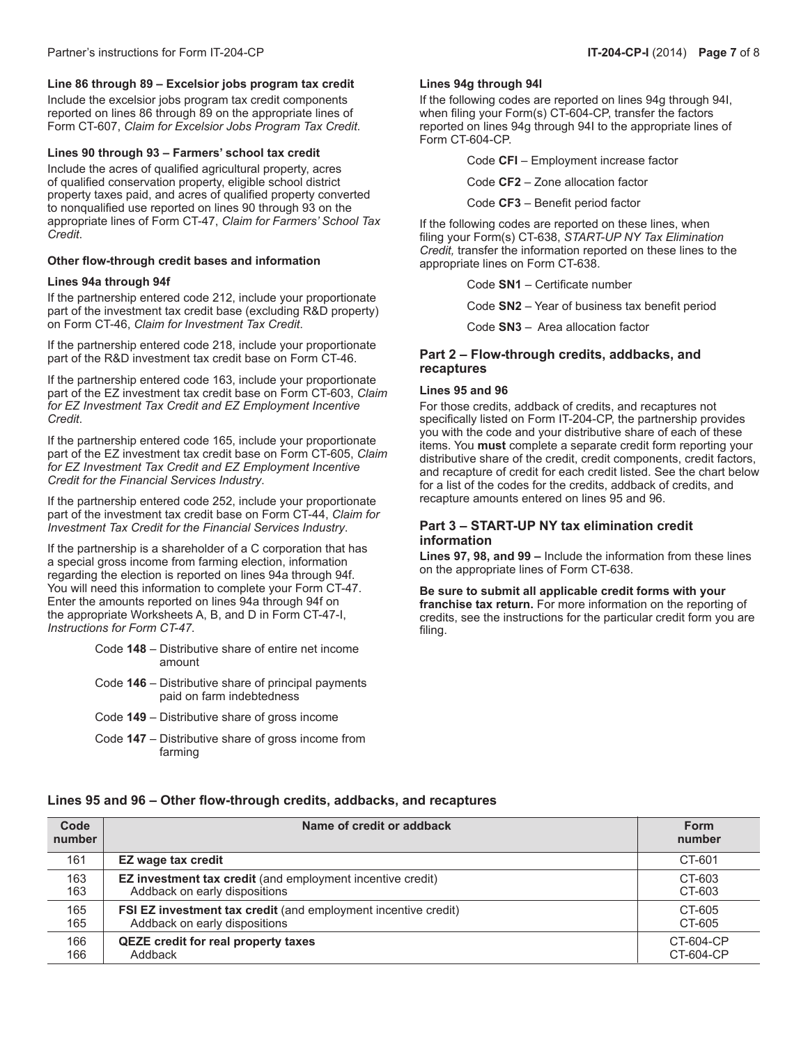### **Line 86 through 89 – Excelsior jobs program tax credit**

Include the excelsior jobs program tax credit components reported on lines 86 through 89 on the appropriate lines of Form CT-607, *Claim for Excelsior Jobs Program Tax Credit*.

#### **Lines 90 through 93 – Farmers' school tax credit**

Include the acres of qualified agricultural property, acres of qualified conservation property, eligible school district property taxes paid, and acres of qualified property converted to nonqualified use reported on lines 90 through 93 on the appropriate lines of Form CT-47, *Claim for Farmers' School Tax Credit*.

#### **Other flow-through credit bases and information**

#### **Lines 94a through 94f**

If the partnership entered code 212, include your proportionate part of the investment tax credit base (excluding R&D property) on Form CT-46, *Claim for Investment Tax Credit*.

If the partnership entered code 218, include your proportionate part of the R&D investment tax credit base on Form CT-46.

If the partnership entered code 163, include your proportionate part of the EZ investment tax credit base on Form CT-603, *Claim for EZ Investment Tax Credit and EZ Employment Incentive Credit*.

If the partnership entered code 165, include your proportionate part of the EZ investment tax credit base on Form CT-605, *Claim for EZ Investment Tax Credit and EZ Employment Incentive Credit for the Financial Services Industry*.

If the partnership entered code 252, include your proportionate part of the investment tax credit base on Form CT-44, *Claim for Investment Tax Credit for the Financial Services Industry*.

If the partnership is a shareholder of a C corporation that has a special gross income from farming election, information regarding the election is reported on lines 94a through 94f. You will need this information to complete your Form CT-47. Enter the amounts reported on lines 94a through 94f on the appropriate Worksheets A, B, and D in Form CT-47-I, *Instructions for Form CT-47*.

- Code **148** Distributive share of entire net income amount
- Code **146** Distributive share of principal payments paid on farm indebtedness
- Code **149** Distributive share of gross income
- Code **147** Distributive share of gross income from farming

#### **Lines 94g through 94l**

If the following codes are reported on lines 94g through 94I, when filing your Form(s) CT-604-CP, transfer the factors reported on lines 94g through 94I to the appropriate lines of Form CT-604-CP.

Code **CFI** – Employment increase factor

Code **CF2** – Zone allocation factor

Code **CF3** – Benefit period factor

If the following codes are reported on these lines, when filing your Form(s) CT-638, *START-UP NY Tax Elimination Credit,* transfer the information reported on these lines to the appropriate lines on Form CT-638.

Code **SN1** – Certificate number

Code **SN2** – Year of business tax benefit period

Code **SN3** – Area allocation factor

#### **Part 2 – Flow-through credits, addbacks, and recaptures**

#### **Lines 95 and 96**

For those credits, addback of credits, and recaptures not specifically listed on Form IT-204-CP, the partnership provides you with the code and your distributive share of each of these items. You **must** complete a separate credit form reporting your distributive share of the credit, credit components, credit factors, and recapture of credit for each credit listed. See the chart below for a list of the codes for the credits, addback of credits, and recapture amounts entered on lines 95 and 96.

#### **Part 3 – START-UP NY tax elimination credit information**

**Lines 97, 98, and 99 –** Include the information from these lines on the appropriate lines of Form CT-638.

#### **Be sure to submit all applicable credit forms with your**

**franchise tax return.** For more information on the reporting of credits, see the instructions for the particular credit form you are filing.

#### **Lines 95 and 96 – Other flow-through credits, addbacks, and recaptures**

| Code<br>number | Name of credit or addback                                             | <b>Form</b><br>number |
|----------------|-----------------------------------------------------------------------|-----------------------|
| 161            | EZ wage tax credit                                                    | CT-601                |
| 163            | <b>EZ investment tax credit</b> (and employment incentive credit)     | CT-603                |
| 163            | Addback on early dispositions                                         | CT-603                |
| 165            | <b>FSI EZ investment tax credit</b> (and employment incentive credit) | CT-605                |
| 165            | Addback on early dispositions                                         | CT-605                |
| 166            | <b>QEZE</b> credit for real property taxes                            | CT-604-CP             |
| 166            | Addback                                                               | CT-604-CP             |